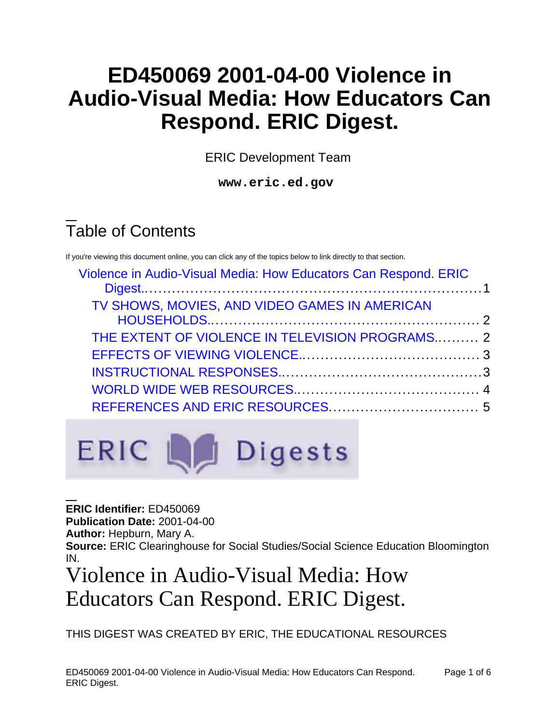# **ED450069 2001-04-00 Violence in Audio-Visual Media: How Educators Can Respond. ERIC Digest.**

ERIC Development Team

**www.eric.ed.gov**

# Table of Contents

If you're viewing this document online, you can click any of the topics below to link directly to that section.

| Violence in Audio-Visual Media: How Educators Can Respond. ERIC |  |
|-----------------------------------------------------------------|--|
| TV SHOWS, MOVIES, AND VIDEO GAMES IN AMERICAN                   |  |
| THE EXTENT OF VIOLENCE IN TELEVISION PROGRAMS 2                 |  |
|                                                                 |  |
|                                                                 |  |
|                                                                 |  |
|                                                                 |  |



**ERIC Identifier:** ED450069 **Publication Date:** 2001-04-00 **Author:** Hepburn, Mary A. **Source:** ERIC Clearinghouse for Social Studies/Social Science Education Bloomington IN.

# <span id="page-0-0"></span>Violence in Audio-Visual Media: How Educators Can Respond. ERIC Digest.

THIS DIGEST WAS CREATED BY ERIC, THE EDUCATIONAL RESOURCES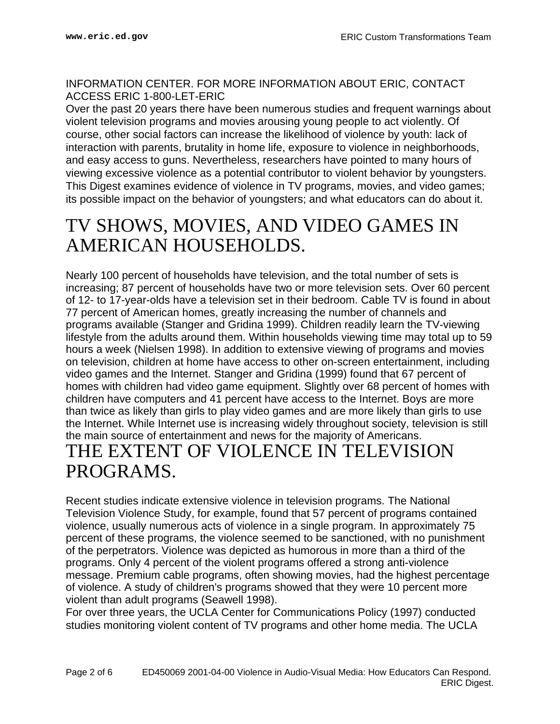INFORMATION CENTER. FOR MORE INFORMATION ABOUT ERIC, CONTACT ACCESS ERIC 1-800-LET-ERIC

Over the past 20 years there have been numerous studies and frequent warnings about violent television programs and movies arousing young people to act violently. Of course, other social factors can increase the likelihood of violence by youth: lack of interaction with parents, brutality in home life, exposure to violence in neighborhoods, and easy access to guns. Nevertheless, researchers have pointed to many hours of viewing excessive violence as a potential contributor to violent behavior by youngsters. This Digest examines evidence of violence in TV programs, movies, and video games; its possible impact on the behavior of youngsters; and what educators can do about it.

### <span id="page-1-0"></span>TV SHOWS, MOVIES, AND VIDEO GAMES IN AMERICAN HOUSEHOLDS.

Nearly 100 percent of households have television, and the total number of sets is increasing; 87 percent of households have two or more television sets. Over 60 percent of 12- to 17-year-olds have a television set in their bedroom. Cable TV is found in about 77 percent of American homes, greatly increasing the number of channels and programs available (Stanger and Gridina 1999). Children readily learn the TV-viewing lifestyle from the adults around them. Within households viewing time may total up to 59 hours a week (Nielsen 1998). In addition to extensive viewing of programs and movies on television, children at home have access to other on-screen entertainment, including video games and the Internet. Stanger and Gridina (1999) found that 67 percent of homes with children had video game equipment. Slightly over 68 percent of homes with children have computers and 41 percent have access to the Internet. Boys are more than twice as likely than girls to play video games and are more likely than girls to use the Internet. While Internet use is increasing widely throughout society, television is still the main source of entertainment and news for the majority of Americans. THE EXTENT OF VIOLENCE IN TELEVISION

#### <span id="page-1-1"></span>PROGRAMS.

Recent studies indicate extensive violence in television programs. The National Television Violence Study, for example, found that 57 percent of programs contained violence, usually numerous acts of violence in a single program. In approximately 75 percent of these programs, the violence seemed to be sanctioned, with no punishment of the perpetrators. Violence was depicted as humorous in more than a third of the programs. Only 4 percent of the violent programs offered a strong anti-violence message. Premium cable programs, often showing movies, had the highest percentage of violence. A study of children's programs showed that they were 10 percent more violent than adult programs (Seawell 1998).

For over three years, the UCLA Center for Communications Policy (1997) conducted studies monitoring violent content of TV programs and other home media. The UCLA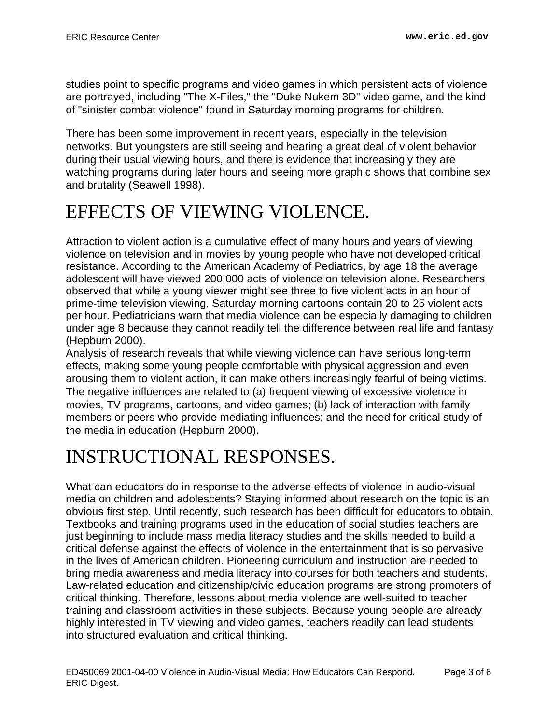studies point to specific programs and video games in which persistent acts of violence are portrayed, including "The X-Files," the "Duke Nukem 3D" video game, and the kind of "sinister combat violence" found in Saturday morning programs for children.

There has been some improvement in recent years, especially in the television networks. But youngsters are still seeing and hearing a great deal of violent behavior during their usual viewing hours, and there is evidence that increasingly they are watching programs during later hours and seeing more graphic shows that combine sex and brutality (Seawell 1998).

## <span id="page-2-0"></span>EFFECTS OF VIEWING VIOLENCE.

Attraction to violent action is a cumulative effect of many hours and years of viewing violence on television and in movies by young people who have not developed critical resistance. According to the American Academy of Pediatrics, by age 18 the average adolescent will have viewed 200,000 acts of violence on television alone. Researchers observed that while a young viewer might see three to five violent acts in an hour of prime-time television viewing, Saturday morning cartoons contain 20 to 25 violent acts per hour. Pediatricians warn that media violence can be especially damaging to children under age 8 because they cannot readily tell the difference between real life and fantasy (Hepburn 2000).

Analysis of research reveals that while viewing violence can have serious long-term effects, making some young people comfortable with physical aggression and even arousing them to violent action, it can make others increasingly fearful of being victims. The negative influences are related to (a) frequent viewing of excessive violence in movies, TV programs, cartoons, and video games; (b) lack of interaction with family members or peers who provide mediating influences; and the need for critical study of the media in education (Hepburn 2000).

## <span id="page-2-1"></span>INSTRUCTIONAL RESPONSES.

What can educators do in response to the adverse effects of violence in audio-visual media on children and adolescents? Staying informed about research on the topic is an obvious first step. Until recently, such research has been difficult for educators to obtain. Textbooks and training programs used in the education of social studies teachers are just beginning to include mass media literacy studies and the skills needed to build a critical defense against the effects of violence in the entertainment that is so pervasive in the lives of American children. Pioneering curriculum and instruction are needed to bring media awareness and media literacy into courses for both teachers and students. Law-related education and citizenship/civic education programs are strong promoters of critical thinking. Therefore, lessons about media violence are well-suited to teacher training and classroom activities in these subjects. Because young people are already highly interested in TV viewing and video games, teachers readily can lead students into structured evaluation and critical thinking.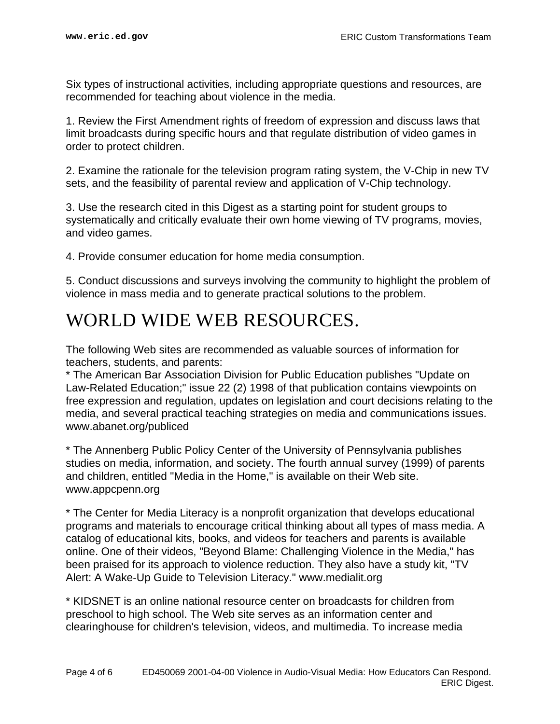Six types of instructional activities, including appropriate questions and resources, are recommended for teaching about violence in the media.

1. Review the First Amendment rights of freedom of expression and discuss laws that limit broadcasts during specific hours and that regulate distribution of video games in order to protect children.

2. Examine the rationale for the television program rating system, the V-Chip in new TV sets, and the feasibility of parental review and application of V-Chip technology.

3. Use the research cited in this Digest as a starting point for student groups to systematically and critically evaluate their own home viewing of TV programs, movies, and video games.

4. Provide consumer education for home media consumption.

5. Conduct discussions and surveys involving the community to highlight the problem of violence in mass media and to generate practical solutions to the problem.

#### <span id="page-3-0"></span>WORLD WIDE WEB RESOURCES.

The following Web sites are recommended as valuable sources of information for teachers, students, and parents:

\* The American Bar Association Division for Public Education publishes "Update on Law-Related Education;" issue 22 (2) 1998 of that publication contains viewpoints on free expression and regulation, updates on legislation and court decisions relating to the media, and several practical teaching strategies on media and communications issues. www.abanet.org/publiced

\* The Annenberg Public Policy Center of the University of Pennsylvania publishes studies on media, information, and society. The fourth annual survey (1999) of parents and children, entitled "Media in the Home," is available on their Web site. www.appcpenn.org

\* The Center for Media Literacy is a nonprofit organization that develops educational programs and materials to encourage critical thinking about all types of mass media. A catalog of educational kits, books, and videos for teachers and parents is available online. One of their videos, "Beyond Blame: Challenging Violence in the Media," has been praised for its approach to violence reduction. They also have a study kit, "TV Alert: A Wake-Up Guide to Television Literacy." www.medialit.org

\* KIDSNET is an online national resource center on broadcasts for children from preschool to high school. The Web site serves as an information center and clearinghouse for children's television, videos, and multimedia. To increase media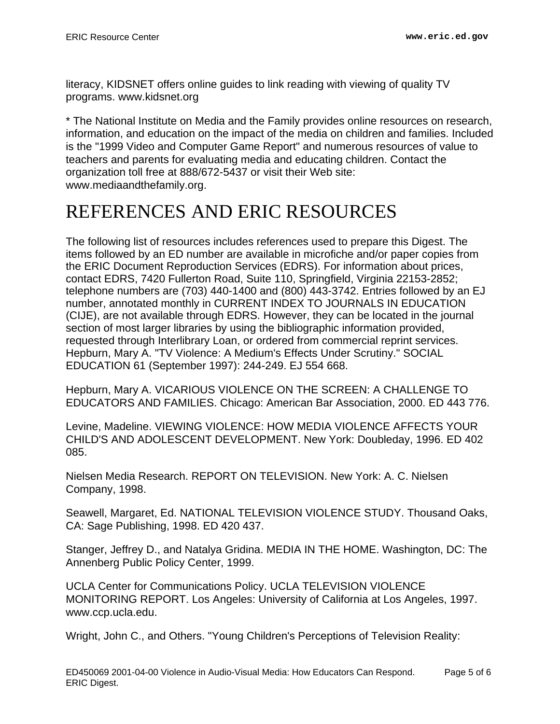literacy, KIDSNET offers online guides to link reading with viewing of quality TV programs. www.kidsnet.org

\* The National Institute on Media and the Family provides online resources on research, information, and education on the impact of the media on children and families. Included is the "1999 Video and Computer Game Report" and numerous resources of value to teachers and parents for evaluating media and educating children. Contact the organization toll free at 888/672-5437 or visit their Web site: www.mediaandthefamily.org.

## <span id="page-4-0"></span>REFERENCES AND ERIC RESOURCES

The following list of resources includes references used to prepare this Digest. The items followed by an ED number are available in microfiche and/or paper copies from the ERIC Document Reproduction Services (EDRS). For information about prices, contact EDRS, 7420 Fullerton Road, Suite 110, Springfield, Virginia 22153-2852; telephone numbers are (703) 440-1400 and (800) 443-3742. Entries followed by an EJ number, annotated monthly in CURRENT INDEX TO JOURNALS IN EDUCATION (CIJE), are not available through EDRS. However, they can be located in the journal section of most larger libraries by using the bibliographic information provided, requested through Interlibrary Loan, or ordered from commercial reprint services. Hepburn, Mary A. "TV Violence: A Medium's Effects Under Scrutiny." SOCIAL EDUCATION 61 (September 1997): 244-249. EJ 554 668.

Hepburn, Mary A. VICARIOUS VIOLENCE ON THE SCREEN: A CHALLENGE TO EDUCATORS AND FAMILIES. Chicago: American Bar Association, 2000. ED 443 776.

Levine, Madeline. VIEWING VIOLENCE: HOW MEDIA VIOLENCE AFFECTS YOUR CHILD'S AND ADOLESCENT DEVELOPMENT. New York: Doubleday, 1996. ED 402 085.

Nielsen Media Research. REPORT ON TELEVISION. New York: A. C. Nielsen Company, 1998.

Seawell, Margaret, Ed. NATIONAL TELEVISION VIOLENCE STUDY. Thousand Oaks, CA: Sage Publishing, 1998. ED 420 437.

Stanger, Jeffrey D., and Natalya Gridina. MEDIA IN THE HOME. Washington, DC: The Annenberg Public Policy Center, 1999.

UCLA Center for Communications Policy. UCLA TELEVISION VIOLENCE MONITORING REPORT. Los Angeles: University of California at Los Angeles, 1997. www.ccp.ucla.edu.

Wright, John C., and Others. "Young Children's Perceptions of Television Reality: